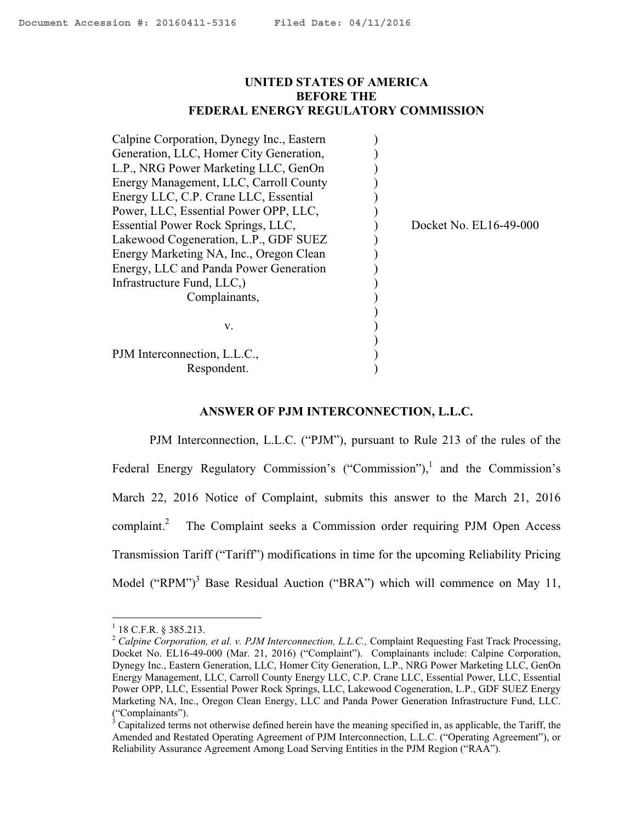### <span id="page-0-0"></span>**UNITED STATES OF AMERICA BEFORE THE FEDERAL ENERGY REGULATORY COMMISSION**

| Docket No. EL16-49-000 |
|------------------------|
|                        |
|                        |
|                        |
|                        |
|                        |
|                        |
|                        |
|                        |
|                        |
|                        |
|                        |

#### **ANSWER OF PJM INTERCONNECTION, L.L.C.**

PJM Interconnection, L.L.C. ("PJM"), pursuant to Rule 213 of the rules of the Federal Energy Regulatory Commission's ("Commission"),<sup>1</sup> and the Commission's March 22, 2016 Notice of Complaint, submits this answer to the March 21, 2016 complaint. $^{2}$  The Complaint seeks a Commission order requiring PJM Open Access Transmission Tariff ("Tariff") modifications in time for the upcoming Reliability Pricing Model ("RPM")<sup>3</sup> Base Residual Auction ("BRA") which will commence on May 11,

 $1$  18 C.F.R. § 385.213.

<sup>&</sup>lt;sup>2</sup> Calpine Corporation, et al. v. PJM Interconnection, L.L.C., Complaint Requesting Fast Track Processing, Docket No. EL16-49-000 (Mar. 21, 2016) ("Complaint"). Complainants include: Calpine Corporation, Dynegy Inc., Eastern Generation, LLC, Homer City Generation, L.P., NRG Power Marketing LLC, GenOn Energy Management, LLC, Carroll County Energy LLC, C.P. Crane LLC, Essential Power, LLC, Essential Power OPP, LLC, Essential Power Rock Springs, LLC, Lakewood Cogeneration, L.P., GDF SUEZ Energy Marketing NA, Inc., Oregon Clean Energy, LLC and Panda Power Generation Infrastructure Fund, LLC. ("Complainants").

 $3^3$  Capitalized terms not otherwise defined herein have the meaning specified in, as applicable, the Tariff, the Amended and Restated Operating Agreement of PJM Interconnection, L.L.C. ("Operating Agreement"), or Reliability Assurance Agreement Among Load Serving Entities in the PJM Region ("RAA").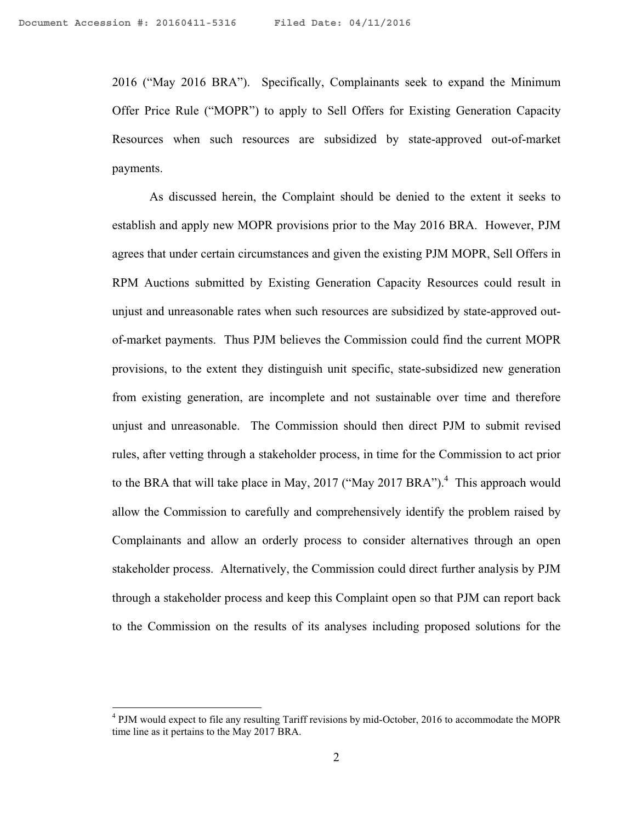2016 ("May 2016 BRA"). Specifically, Complainants seek to expand the Minimum Offer Price Rule ("MOPR") to apply to Sell Offers for Existing Generation Capacity Resources when such resources are subsidized by state-approved out-of-market payments.

As discussed herein, the Complaint should be denied to the extent it seeks to establish and apply new MOPR provisions prior to the May 2016 BRA. However, PJM agrees that under certain circumstances and given the existing PJM MOPR, Sell Offers in RPM Auctions submitted by Existing Generation Capacity Resources could result in unjust and unreasonable rates when such resources are subsidized by state-approved outof-market payments. Thus PJM believes the Commission could find the current MOPR provisions, to the extent they distinguish unit specific, state-subsidized new generation from existing generation, are incomplete and not sustainable over time and therefore unjust and unreasonable. The Commission should then direct PJM to submit revised rules, after vetting through a stakeholder process, in time for the Commission to act prior to the BRA that will take place in May, 2017 ("May 2017 BRA").<sup>4</sup> This approach would allow the Commission to carefully and comprehensively identify the problem raised by Complainants and allow an orderly process to consider alternatives through an open stakeholder process. Alternatively, the Commission could direct further analysis by PJM through a stakeholder process and keep this Complaint open so that PJM can report back to the Commission on the results of its analyses including proposed solutions for the

<sup>&</sup>lt;sup>4</sup> PJM would expect to file any resulting Tariff revisions by mid-October, 2016 to accommodate the MOPR time line as it pertains to the May 2017 BRA.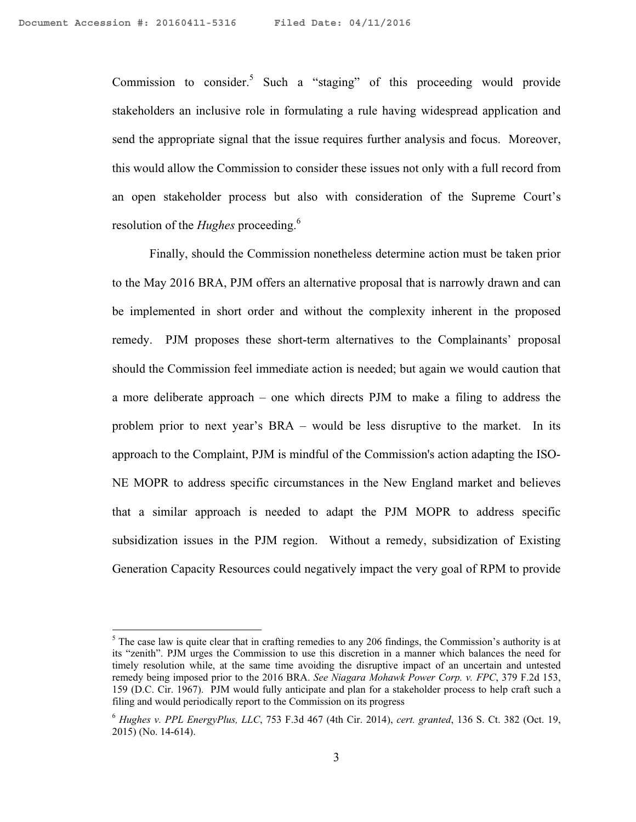$\overline{a}$ 

Commission to consider.<sup>5</sup> Such a "staging" of this proceeding would provide stakeholders an inclusive role in formulating a rule having widespread application and send the appropriate signal that the issue requires further analysis and focus. Moreover, this would allow the Commission to consider these issues not only with a full record from an open stakeholder process but also with consideration of the Supreme Court's resolution of the *Hughes* proceeding.6

Finally, should the Commission nonetheless determine action must be taken prior to the May 2016 BRA, PJM offers an alternative proposal that is narrowly drawn and can be implemented in short order and without the complexity inherent in the proposed remedy. PJM proposes these short-term alternatives to the Complainants' proposal should the Commission feel immediate action is needed; but again we would caution that a more deliberate approach – one which directs PJM to make a filing to address the problem prior to next year's BRA – would be less disruptive to the market. In its approach to the Complaint, PJM is mindful of the Commission's action adapting the ISO-NE MOPR to address specific circumstances in the New England market and believes that a similar approach is needed to adapt the PJM MOPR to address specific subsidization issues in the PJM region. Without a remedy, subsidization of Existing Generation Capacity Resources could negatively impact the very goal of RPM to provide

 $<sup>5</sup>$  The case law is quite clear that in crafting remedies to any 206 findings, the Commission's authority is at</sup> its "zenith". PJM urges the Commission to use this discretion in a manner which balances the need for timely resolution while, at the same time avoiding the disruptive impact of an uncertain and untested remedy being imposed prior to the 2016 BRA. *See Niagara Mohawk Power Corp. v. FPC*, 379 F.2d 153, 159 (D.C. Cir. 1967). PJM would fully anticipate and plan for a stakeholder process to help craft such a filing and would periodically report to the Commission on its progress

<sup>6</sup> *Hughes v. PPL EnergyPlus, LLC*, 753 F.3d 467 (4th Cir. 2014), *cert. granted*, 136 S. Ct. 382 (Oct. 19, 2015) (No. 14-614).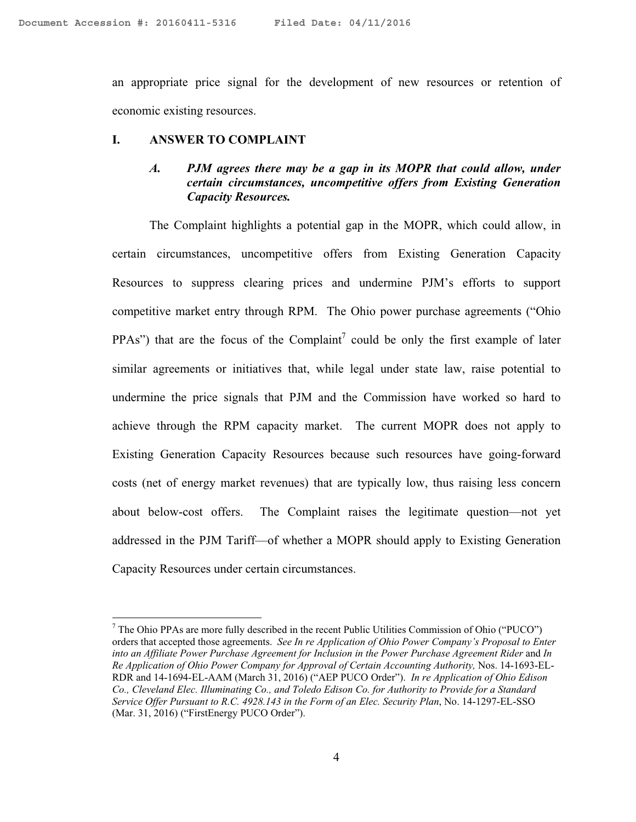an appropriate price signal for the development of new resources or retention of economic existing resources.

#### **I. ANSWER TO COMPLAINT**

 $\overline{a}$ 

# *A. PJM agrees there may be a gap in its MOPR that could allow, under certain circumstances, uncompetitive offers from Existing Generation Capacity Resources.*

The Complaint highlights a potential gap in the MOPR, which could allow, in certain circumstances, uncompetitive offers from Existing Generation Capacity Resources to suppress clearing prices and undermine PJM's efforts to support competitive market entry through RPM. The Ohio power purchase agreements ("Ohio PPAs") that are the focus of the Complaint<sup>7</sup> could be only the first example of later similar agreements or initiatives that, while legal under state law, raise potential to undermine the price signals that PJM and the Commission have worked so hard to achieve through the RPM capacity market. The current MOPR does not apply to Existing Generation Capacity Resources because such resources have going-forward costs (net of energy market revenues) that are typically low, thus raising less concern about below-cost offers. The Complaint raises the legitimate question—not yet addressed in the PJM Tariff—of whether a MOPR should apply to Existing Generation Capacity Resources under certain circumstances.

 $<sup>7</sup>$  The Ohio PPAs are more fully described in the recent Public Utilities Commission of Ohio ("PUCO")</sup> orders that accepted those agreements. *See In re Application of Ohio Power Company's Proposal to Enter into an Affiliate Power Purchase Agreement for Inclusion in the Power Purchase Agreement Rider and In Re Application of Ohio Power Company for Approval of Certain Accounting Authority,* Nos. 14-1693-EL-RDR and 14-1694-EL-AAM (March 31, 2016) ("AEP PUCO Order"). *In re Application of Ohio Edison Co., Cleveland Elec. Illuminating Co., and Toledo Edison Co. for Authority to Provide for a Standard Service Offer Pursuant to R.C. 4928.143 in the Form of an Elec. Security Plan*, No. 14-1297-EL-SSO (Mar. 31, 2016) ("FirstEnergy PUCO Order").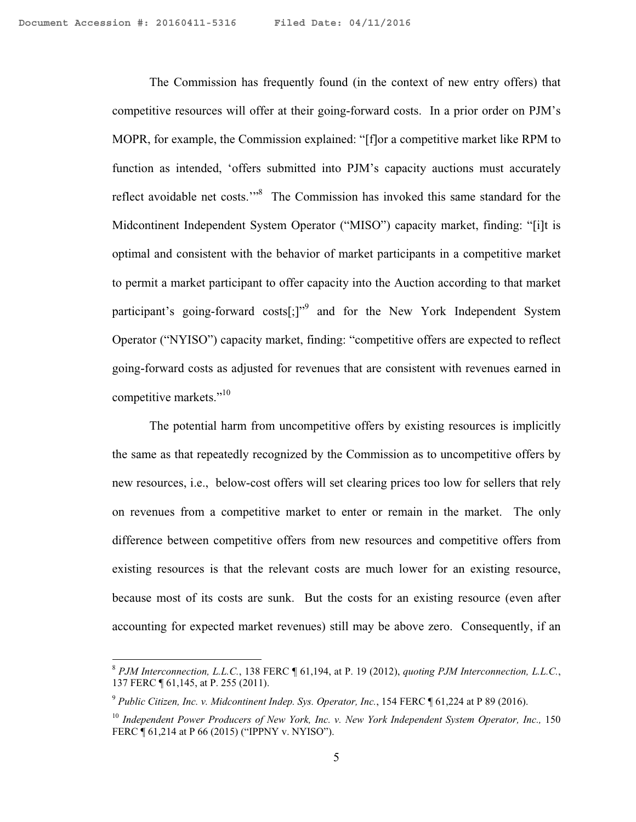The Commission has frequently found (in the context of new entry offers) that competitive resources will offer at their going-forward costs. In a prior order on PJM's MOPR, for example, the Commission explained: "[f]or a competitive market like RPM to function as intended, 'offers submitted into PJM's capacity auctions must accurately reflect avoidable net costs."<sup>8</sup> The Commission has invoked this same standard for the Midcontinent Independent System Operator ("MISO") capacity market, finding: "[i]t is optimal and consistent with the behavior of market participants in a competitive market to permit a market participant to offer capacity into the Auction according to that market participant's going-forward costs[;]"<sup>9</sup> and for the New York Independent System Operator ("NYISO") capacity market, finding: "competitive offers are expected to reflect going-forward costs as adjusted for revenues that are consistent with revenues earned in competitive markets."<sup>10</sup>

The potential harm from uncompetitive offers by existing resources is implicitly the same as that repeatedly recognized by the Commission as to uncompetitive offers by new resources, i.e., below-cost offers will set clearing prices too low for sellers that rely on revenues from a competitive market to enter or remain in the market. The only difference between competitive offers from new resources and competitive offers from existing resources is that the relevant costs are much lower for an existing resource, because most of its costs are sunk. But the costs for an existing resource (even after accounting for expected market revenues) still may be above zero. Consequently, if an

<sup>8</sup> *PJM Interconnection, L.L.C.*, 138 FERC ¶ 61,194, at P. 19 (2012), *quoting PJM Interconnection, L.L.C.*, 137 FERC ¶ 61,145, at P. 255 (2011).

<sup>9</sup> *Public Citizen, Inc. v. Midcontinent Indep. Sys. Operator, Inc.*, 154 FERC ¶ 61,224 at P 89 (2016).

<sup>10</sup> *Independent Power Producers of New York, Inc. v. New York Independent System Operator, Inc.,* 150 FERC ¶ 61,214 at P 66 (2015) ("IPPNY v. NYISO").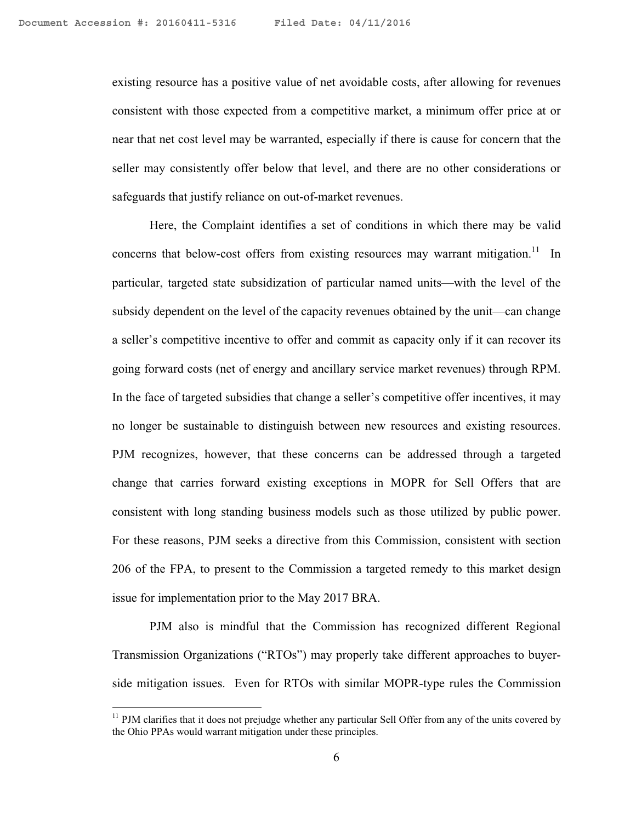existing resource has a positive value of net avoidable costs, after allowing for revenues consistent with those expected from a competitive market, a minimum offer price at or near that net cost level may be warranted, especially if there is cause for concern that the seller may consistently offer below that level, and there are no other considerations or safeguards that justify reliance on out-of-market revenues.

Here, the Complaint identifies a set of conditions in which there may be valid concerns that below-cost offers from existing resources may warrant mitigation.<sup>11</sup> In particular, targeted state subsidization of particular named units—with the level of the subsidy dependent on the level of the capacity revenues obtained by the unit—can change a seller's competitive incentive to offer and commit as capacity only if it can recover its going forward costs (net of energy and ancillary service market revenues) through RPM. In the face of targeted subsidies that change a seller's competitive offer incentives, it may no longer be sustainable to distinguish between new resources and existing resources. PJM recognizes, however, that these concerns can be addressed through a targeted change that carries forward existing exceptions in MOPR for Sell Offers that are consistent with long standing business models such as those utilized by public power. For these reasons, PJM seeks a directive from this Commission, consistent with section 206 of the FPA, to present to the Commission a targeted remedy to this market design issue for implementation prior to the May 2017 BRA.

PJM also is mindful that the Commission has recognized different Regional Transmission Organizations ("RTOs") may properly take different approaches to buyerside mitigation issues. Even for RTOs with similar MOPR-type rules the Commission

<sup>&</sup>lt;sup>11</sup> PJM clarifies that it does not prejudge whether any particular Sell Offer from any of the units covered by the Ohio PPAs would warrant mitigation under these principles.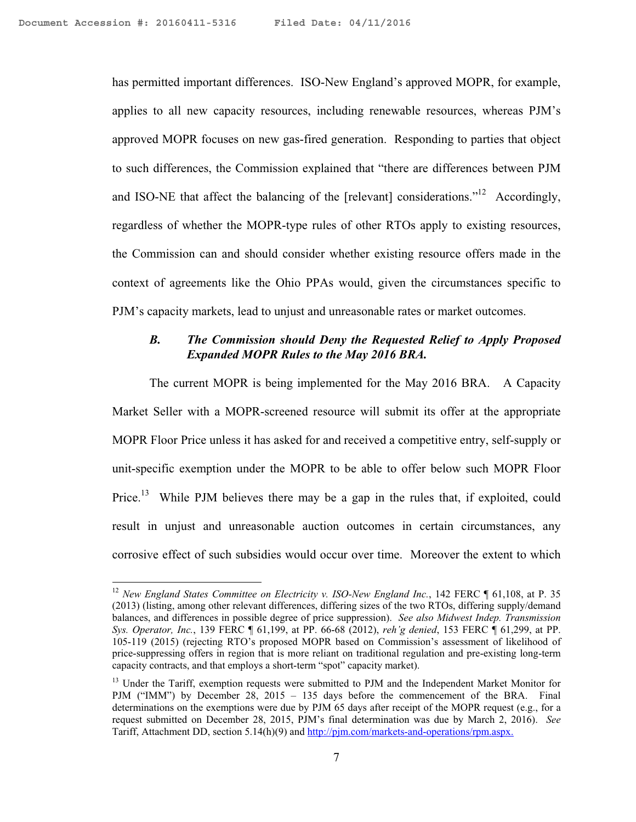1

has permitted important differences. ISO-New England's approved MOPR, for example, applies to all new capacity resources, including renewable resources, whereas PJM's approved MOPR focuses on new gas-fired generation. Responding to parties that object to such differences, the Commission explained that "there are differences between PJM and ISO-NE that affect the balancing of the [relevant] considerations."<sup>12</sup> Accordingly, regardless of whether the MOPR-type rules of other RTOs apply to existing resources, the Commission can and should consider whether existing resource offers made in the context of agreements like the Ohio PPAs would, given the circumstances specific to PJM's capacity markets, lead to unjust and unreasonable rates or market outcomes.

### *B. The Commission should Deny the Requested Relief to Apply Proposed Expanded MOPR Rules to the May 2016 BRA.*

The current MOPR is being implemented for the May 2016 BRA. A Capacity Market Seller with a MOPR-screened resource will submit its offer at the appropriate MOPR Floor Price unless it has asked for and received a competitive entry, self-supply or unit-specific exemption under the MOPR to be able to offer below such MOPR Floor Price.<sup>13</sup> While PJM believes there may be a gap in the rules that, if exploited, could result in unjust and unreasonable auction outcomes in certain circumstances, any corrosive effect of such subsidies would occur over time. Moreover the extent to which

<sup>&</sup>lt;sup>12</sup> New England States Committee on Electricity v. ISO-New England Inc., 142 FERC ¶ 61,108, at P. 35 (2013) (listing, among other relevant differences, differing sizes of the two RTOs, differing supply/demand balances, and differences in possible degree of price suppression). *See also Midwest Indep. Transmission Sys. Operator, Inc.*, 139 FERC ¶ 61,199, at PP. 66-68 (2012), *reh'g denied*, 153 FERC ¶ 61,299, at PP. 105-119 (2015) (rejecting RTO's proposed MOPR based on Commission's assessment of likelihood of price-suppressing offers in region that is more reliant on traditional regulation and pre-existing long-term capacity contracts, and that employs a short-term "spot" capacity market).

<sup>&</sup>lt;sup>13</sup> Under the Tariff, exemption requests were submitted to PJM and the Independent Market Monitor for PJM ("IMM") by December 28, 2015 – 135 days before the commencement of the BRA. Final determinations on the exemptions were due by PJM 65 days after receipt of the MOPR request (e.g., for a request submitted on December 28, 2015, PJM's final determination was due by March 2, 2016). *See*  Tariff, Attachment DD, section 5.14(h)(9) and http://pjm.com/markets-and-operations/rpm.aspx.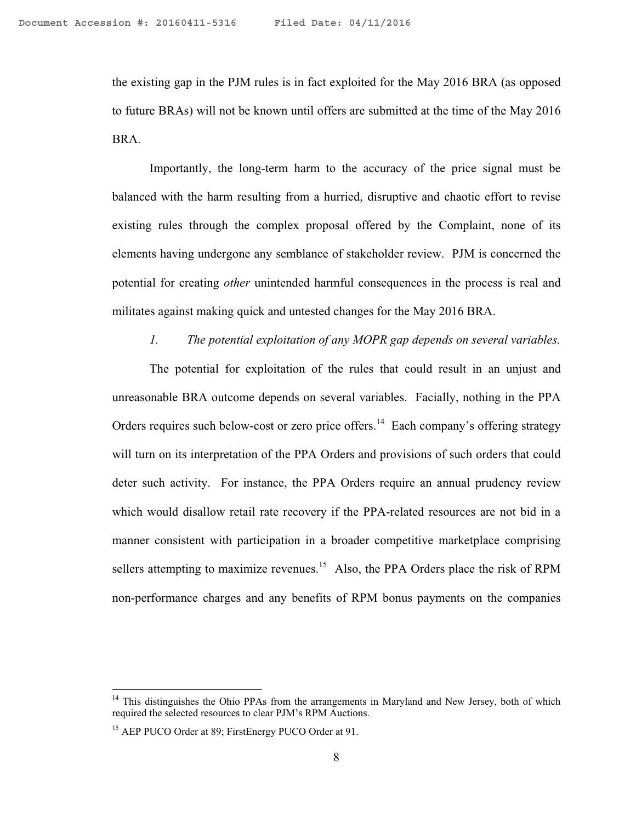the existing gap in the PJM rules is in fact exploited for the May 2016 BRA (as opposed to future BRAs) will not be known until offers are submitted at the time of the May 2016 BRA.

Importantly, the long-term harm to the accuracy of the price signal must be balanced with the harm resulting from a hurried, disruptive and chaotic effort to revise existing rules through the complex proposal offered by the Complaint, none of its elements having undergone any semblance of stakeholder review. PJM is concerned the potential for creating *other* unintended harmful consequences in the process is real and militates against making quick and untested changes for the May 2016 BRA.

#### *1. The potential exploitation of any MOPR gap depends on several variables.*

The potential for exploitation of the rules that could result in an unjust and unreasonable BRA outcome depends on several variables. Facially, nothing in the PPA Orders requires such below-cost or zero price offers.<sup>14</sup> Each company's offering strategy will turn on its interpretation of the PPA Orders and provisions of such orders that could deter such activity. For instance, the PPA Orders require an annual prudency review which would disallow retail rate recovery if the PPA-related resources are not bid in a manner consistent with participation in a broader competitive marketplace comprising sellers attempting to maximize revenues.<sup>15</sup> Also, the PPA Orders place the risk of RPM non-performance charges and any benefits of RPM bonus payments on the companies

 $14$  This distinguishes the Ohio PPAs from the arrangements in Maryland and New Jersey, both of which required the selected resources to clear PJM's RPM Auctions.

<sup>&</sup>lt;sup>15</sup> AEP PUCO Order at 89; FirstEnergy PUCO Order at 91.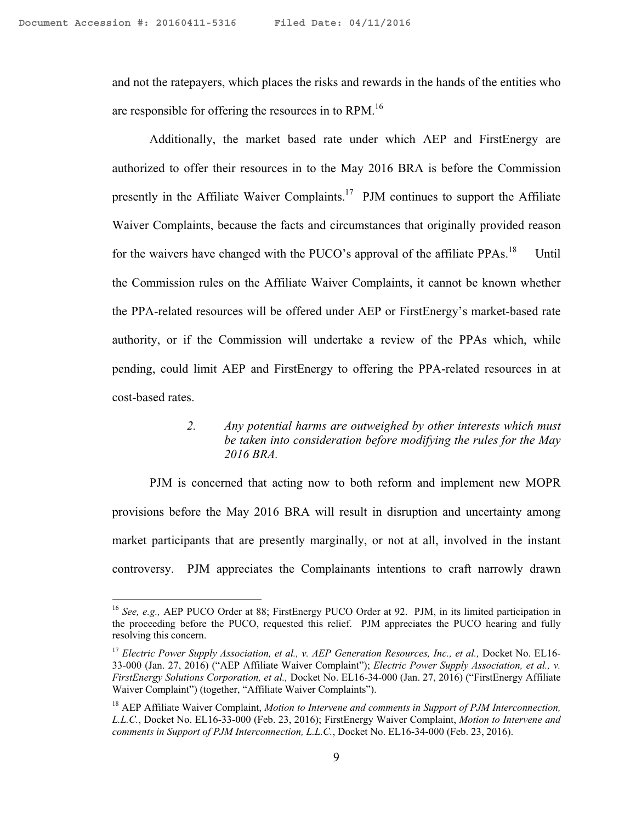$\overline{a}$ 

and not the ratepayers, which places the risks and rewards in the hands of the entities who are responsible for offering the resources in to RPM.<sup>16</sup>

Additionally, the market based rate under which AEP and FirstEnergy are authorized to offer their resources in to the May 2016 BRA is before the Commission presently in the Affiliate Waiver Complaints.<sup>17</sup> PJM continues to support the Affiliate Waiver Complaints, because the facts and circumstances that originally provided reason for the waivers have changed with the PUCO's approval of the affiliate PPAs.<sup>18</sup> Until the Commission rules on the Affiliate Waiver Complaints, it cannot be known whether the PPA-related resources will be offered under AEP or FirstEnergy's market-based rate authority, or if the Commission will undertake a review of the PPAs which, while pending, could limit AEP and FirstEnergy to offering the PPA-related resources in at cost-based rates.

> *2. Any potential harms are outweighed by other interests which must be taken into consideration before modifying the rules for the May 2016 BRA.*

PJM is concerned that acting now to both reform and implement new MOPR provisions before the May 2016 BRA will result in disruption and uncertainty among market participants that are presently marginally, or not at all, involved in the instant controversy. PJM appreciates the Complainants intentions to craft narrowly drawn

<sup>16</sup> *See, e.g.,* AEP PUCO Order at 88; FirstEnergy PUCO Order at 92. PJM, in its limited participation in the proceeding before the PUCO, requested this relief. PJM appreciates the PUCO hearing and fully resolving this concern.

<sup>&</sup>lt;sup>17</sup> Electric Power Supply Association, et al., v. AEP Generation Resources, Inc., et al., Docket No. EL16-33-000 (Jan. 27, 2016) ("AEP Affiliate Waiver Complaint"); *Electric Power Supply Association, et al., v. FirstEnergy Solutions Corporation, et al.,* Docket No. EL16-34-000 (Jan. 27, 2016) ("FirstEnergy Affiliate Waiver Complaint") (together, "Affiliate Waiver Complaints").

<sup>&</sup>lt;sup>18</sup> AEP Affiliate Waiver Complaint, *Motion to Intervene and comments in Support of PJM Interconnection, L.L.C.*, Docket No. EL16-33-000 (Feb. 23, 2016); FirstEnergy Waiver Complaint, *Motion to Intervene and comments in Support of PJM Interconnection, L.L.C.*, Docket No. EL16-34-000 (Feb. 23, 2016).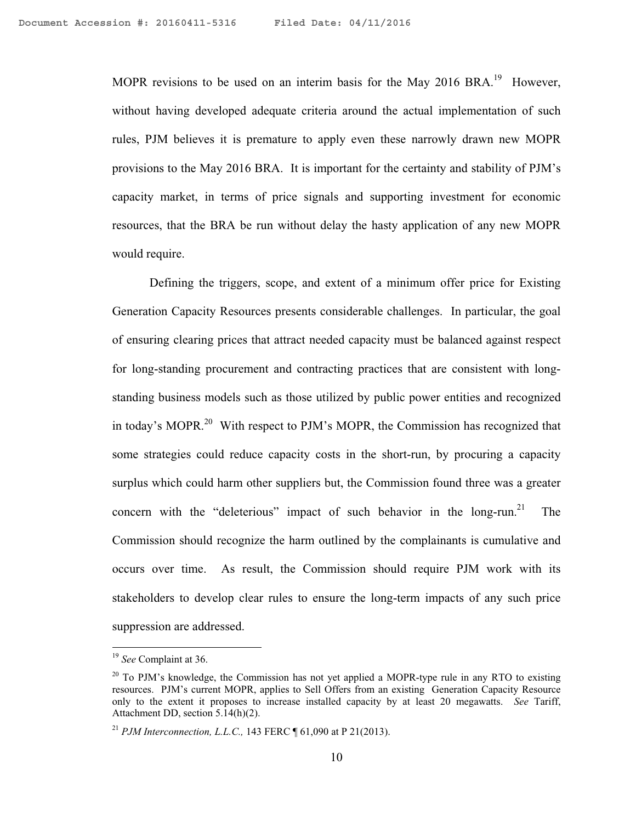MOPR revisions to be used on an interim basis for the May 2016 BRA.<sup>19</sup> However, without having developed adequate criteria around the actual implementation of such rules, PJM believes it is premature to apply even these narrowly drawn new MOPR provisions to the May 2016 BRA. It is important for the certainty and stability of PJM's capacity market, in terms of price signals and supporting investment for economic resources, that the BRA be run without delay the hasty application of any new MOPR would require.

Defining the triggers, scope, and extent of a minimum offer price for Existing Generation Capacity Resources presents considerable challenges. In particular, the goal of ensuring clearing prices that attract needed capacity must be balanced against respect for long-standing procurement and contracting practices that are consistent with longstanding business models such as those utilized by public power entities and recognized in today's MOPR.<sup>20</sup> With respect to PJM's MOPR, the Commission has recognized that some strategies could reduce capacity costs in the short-run, by procuring a capacity surplus which could harm other suppliers but, the Commission found three was a greater concern with the "deleterious" impact of such behavior in the long-run.<sup>21</sup> The Commission should recognize the harm outlined by the complainants is cumulative and occurs over time. As result, the Commission should require PJM work with its stakeholders to develop clear rules to ensure the long-term impacts of any such price suppression are addressed.

<sup>19</sup> *See* Complaint at 36.

 $20$  To PJM's knowledge, the Commission has not yet applied a MOPR-type rule in any RTO to existing resources. PJM's current MOPR, applies to Sell Offers from an existing Generation Capacity Resource only to the extent it proposes to increase installed capacity by at least 20 megawatts. *See* Tariff, Attachment DD, section 5.14(h)(2).

<sup>21</sup> *PJM Interconnection, L.L.C.,* 143 FERC ¶ 61,090 at P 21(2013).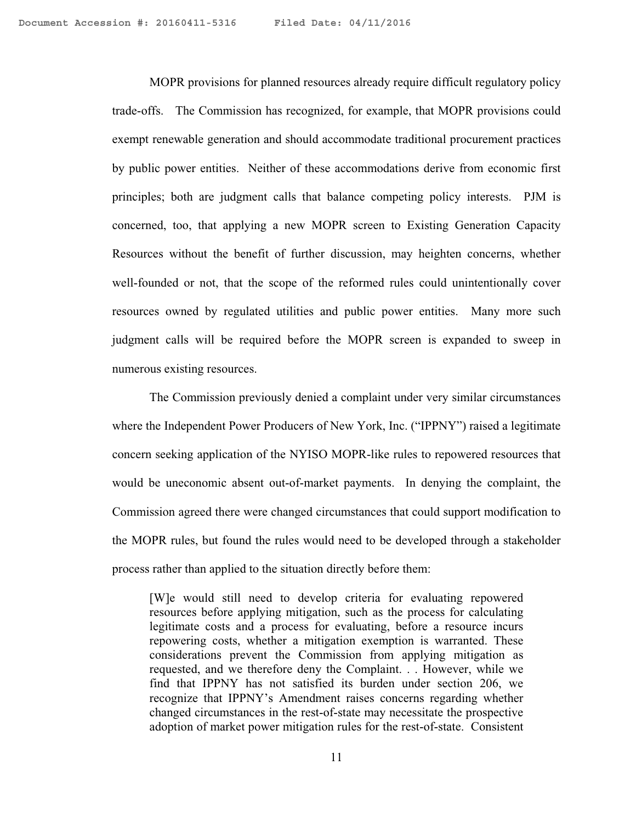MOPR provisions for planned resources already require difficult regulatory policy trade-offs. The Commission has recognized, for example, that MOPR provisions could exempt renewable generation and should accommodate traditional procurement practices by public power entities. Neither of these accommodations derive from economic first principles; both are judgment calls that balance competing policy interests. PJM is concerned, too, that applying a new MOPR screen to Existing Generation Capacity Resources without the benefit of further discussion, may heighten concerns, whether well-founded or not, that the scope of the reformed rules could unintentionally cover resources owned by regulated utilities and public power entities. Many more such judgment calls will be required before the MOPR screen is expanded to sweep in numerous existing resources.

The Commission previously denied a complaint under very similar circumstances where the Independent Power Producers of New York, Inc. ("IPPNY") raised a legitimate concern seeking application of the NYISO MOPR-like rules to repowered resources that would be uneconomic absent out-of-market payments. In denying the complaint, the Commission agreed there were changed circumstances that could support modification to the MOPR rules, but found the rules would need to be developed through a stakeholder process rather than applied to the situation directly before them:

[W]e would still need to develop criteria for evaluating repowered resources before applying mitigation, such as the process for calculating legitimate costs and a process for evaluating, before a resource incurs repowering costs, whether a mitigation exemption is warranted. These considerations prevent the Commission from applying mitigation as requested, and we therefore deny the Complaint. . . However, while we find that IPPNY has not satisfied its burden under section 206, we recognize that IPPNY's Amendment raises concerns regarding whether changed circumstances in the rest-of-state may necessitate the prospective adoption of market power mitigation rules for the rest-of-state. Consistent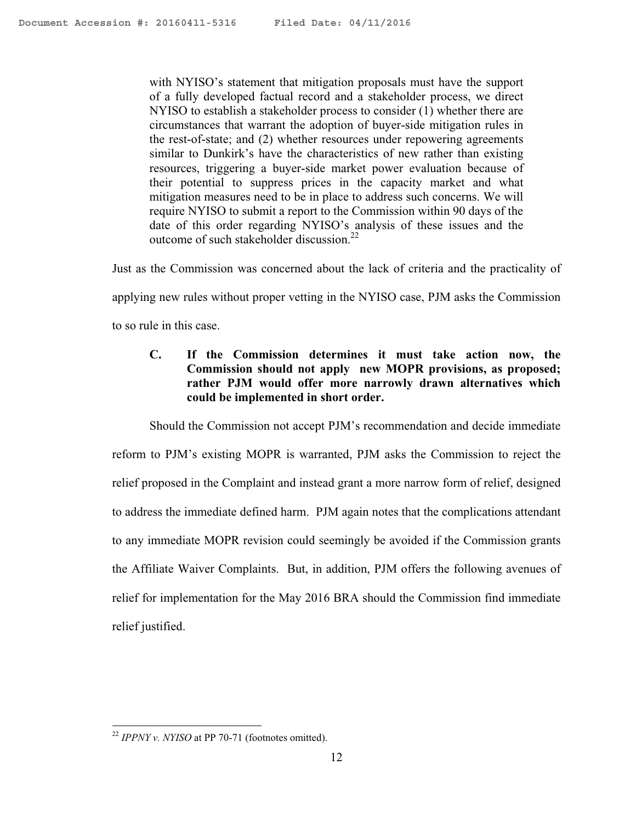with NYISO's statement that mitigation proposals must have the support of a fully developed factual record and a stakeholder process, we direct NYISO to establish a stakeholder process to consider (1) whether there are circumstances that warrant the adoption of buyer-side mitigation rules in the rest-of-state; and (2) whether resources under repowering agreements similar to Dunkirk's have the characteristics of new rather than existing resources, triggering a buyer-side market power evaluation because of their potential to suppress prices in the capacity market and what mitigation measures need to be in place to address such concerns. We will require NYISO to submit a report to the Commission within 90 days of the date of this order regarding NYISO's analysis of these issues and the outcome of such stakeholder discussion.<sup>22</sup>

Just as the Commission was concerned about the lack of criteria and the practicality of

applying new rules without proper vetting in the NYISO case, PJM asks the Commission

to so rule in this case.

**C. If the Commission determines it must take action now, the Commission should not apply new MOPR provisions, as proposed; rather PJM would offer more narrowly drawn alternatives which could be implemented in short order.** 

Should the Commission not accept PJM's recommendation and decide immediate

reform to PJM's existing MOPR is warranted, PJM asks the Commission to reject the relief proposed in the Complaint and instead grant a more narrow form of relief, designed to address the immediate defined harm. PJM again notes that the complications attendant to any immediate MOPR revision could seemingly be avoided if the Commission grants the Affiliate Waiver Complaints. But, in addition, PJM offers the following avenues of relief for implementation for the May 2016 BRA should the Commission find immediate relief justified.

<sup>22</sup> *IPPNY v. NYISO* at PP 70-71 (footnotes omitted).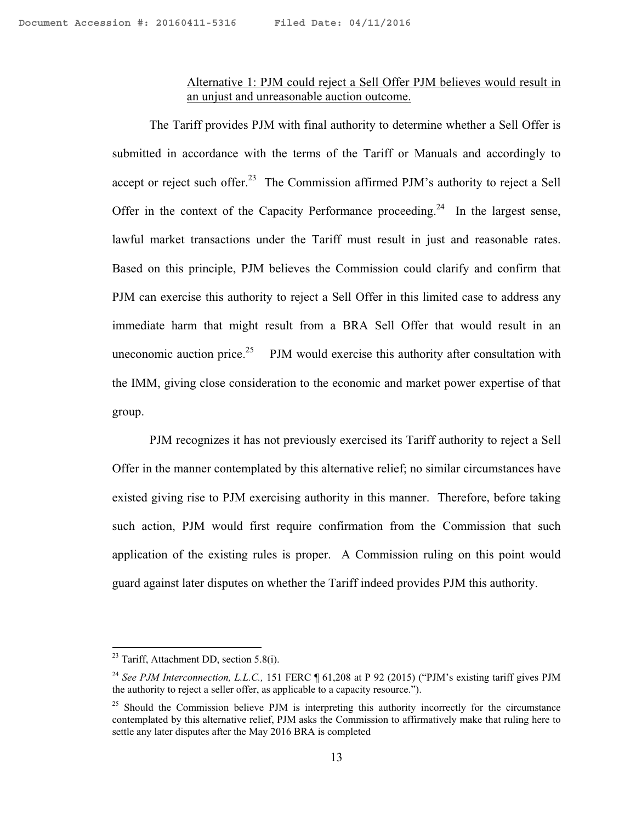### Alternative 1: PJM could reject a Sell Offer PJM believes would result in an unjust and unreasonable auction outcome.

The Tariff provides PJM with final authority to determine whether a Sell Offer is submitted in accordance with the terms of the Tariff or Manuals and accordingly to accept or reject such offer.<sup>23</sup> The Commission affirmed PJM's authority to reject a Sell Offer in the context of the Capacity Performance proceeding.<sup>24</sup> In the largest sense, lawful market transactions under the Tariff must result in just and reasonable rates. Based on this principle, PJM believes the Commission could clarify and confirm that PJM can exercise this authority to reject a Sell Offer in this limited case to address any immediate harm that might result from a BRA Sell Offer that would result in an uneconomic auction price.<sup>25</sup> PJM would exercise this authority after consultation with the IMM, giving close consideration to the economic and market power expertise of that group.

PJM recognizes it has not previously exercised its Tariff authority to reject a Sell Offer in the manner contemplated by this alternative relief; no similar circumstances have existed giving rise to PJM exercising authority in this manner. Therefore, before taking such action, PJM would first require confirmation from the Commission that such application of the existing rules is proper. A Commission ruling on this point would guard against later disputes on whether the Tariff indeed provides PJM this authority.

 $23$  Tariff, Attachment DD, section 5.8(i).

<sup>&</sup>lt;sup>24</sup> See PJM Interconnection, L.L.C., 151 FERC ¶ 61,208 at P 92 (2015) ("PJM's existing tariff gives PJM the authority to reject a seller offer, as applicable to a capacity resource.").

 $25$  Should the Commission believe PJM is interpreting this authority incorrectly for the circumstance contemplated by this alternative relief, PJM asks the Commission to affirmatively make that ruling here to settle any later disputes after the May 2016 BRA is completed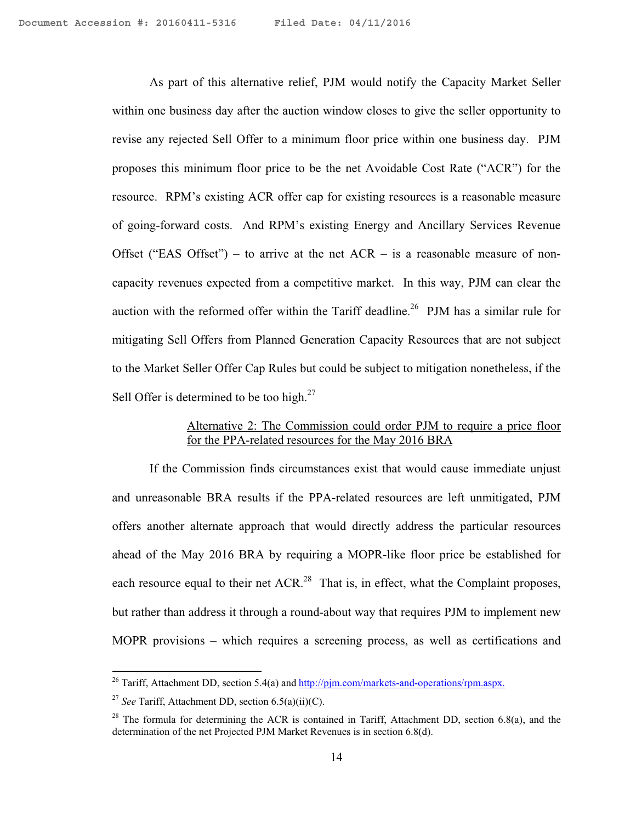As part of this alternative relief, PJM would notify the Capacity Market Seller within one business day after the auction window closes to give the seller opportunity to revise any rejected Sell Offer to a minimum floor price within one business day. PJM proposes this minimum floor price to be the net Avoidable Cost Rate ("ACR") for the resource. RPM's existing ACR offer cap for existing resources is a reasonable measure of going-forward costs. And RPM's existing Energy and Ancillary Services Revenue Offset ("EAS Offset") – to arrive at the net  $ACR -$  is a reasonable measure of noncapacity revenues expected from a competitive market. In this way, PJM can clear the auction with the reformed offer within the Tariff deadline.<sup>26</sup> PJM has a similar rule for mitigating Sell Offers from Planned Generation Capacity Resources that are not subject to the Market Seller Offer Cap Rules but could be subject to mitigation nonetheless, if the Sell Offer is determined to be too high. $27$ 

# Alternative 2: The Commission could order PJM to require a price floor for the PPA-related resources for the May 2016 BRA

 If the Commission finds circumstances exist that would cause immediate unjust and unreasonable BRA results if the PPA-related resources are left unmitigated, PJM offers another alternate approach that would directly address the particular resources ahead of the May 2016 BRA by requiring a MOPR-like floor price be established for each resource equal to their net  $ACR<sup>28</sup>$ . That is, in effect, what the Complaint proposes, but rather than address it through a round-about way that requires PJM to implement new MOPR provisions – which requires a screening process, as well as certifications and

<sup>&</sup>lt;sup>26</sup> Tariff, Attachment DD, section 5.4(a) and  $\frac{http://pjm.com/markets-and-operations/rpm.aspx.$ 

<sup>27</sup> *See* Tariff, Attachment DD, section 6.5(a)(ii)(C).

 $28$  The formula for determining the ACR is contained in Tariff, Attachment DD, section 6.8(a), and the determination of the net Projected PJM Market Revenues is in section 6.8(d).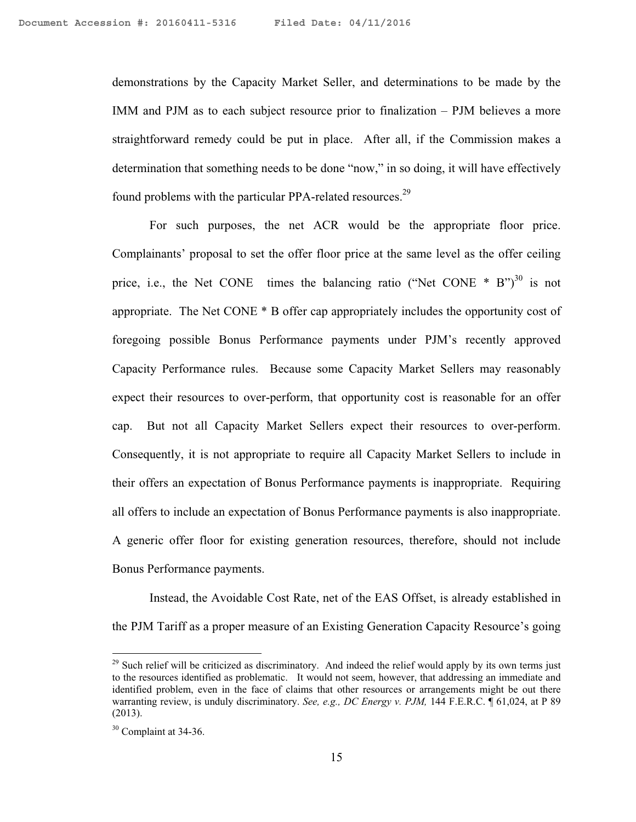demonstrations by the Capacity Market Seller, and determinations to be made by the IMM and PJM as to each subject resource prior to finalization – PJM believes a more straightforward remedy could be put in place. After all, if the Commission makes a determination that something needs to be done "now," in so doing, it will have effectively found problems with the particular PPA-related resources.<sup>29</sup>

 For such purposes, the net ACR would be the appropriate floor price. Complainants' proposal to set the offer floor price at the same level as the offer ceiling price, i.e., the Net CONE times the balancing ratio ("Net CONE  $*$  B")<sup>30</sup> is not appropriate. The Net CONE \* B offer cap appropriately includes the opportunity cost of foregoing possible Bonus Performance payments under PJM's recently approved Capacity Performance rules. Because some Capacity Market Sellers may reasonably expect their resources to over-perform, that opportunity cost is reasonable for an offer cap. But not all Capacity Market Sellers expect their resources to over-perform. Consequently, it is not appropriate to require all Capacity Market Sellers to include in their offers an expectation of Bonus Performance payments is inappropriate. Requiring all offers to include an expectation of Bonus Performance payments is also inappropriate. A generic offer floor for existing generation resources, therefore, should not include Bonus Performance payments.

Instead, the Avoidable Cost Rate, net of the EAS Offset, is already established in the PJM Tariff as a proper measure of an Existing Generation Capacity Resource's going

1

 $29$  Such relief will be criticized as discriminatory. And indeed the relief would apply by its own terms just to the resources identified as problematic. It would not seem, however, that addressing an immediate and identified problem, even in the face of claims that other resources or arrangements might be out there warranting review, is unduly discriminatory. *See, e.g., DC Energy v. PJM,* 144 F.E.R.C. ¶ 61,024, at P 89 (2013).

<sup>&</sup>lt;sup>30</sup> Complaint at 34-36.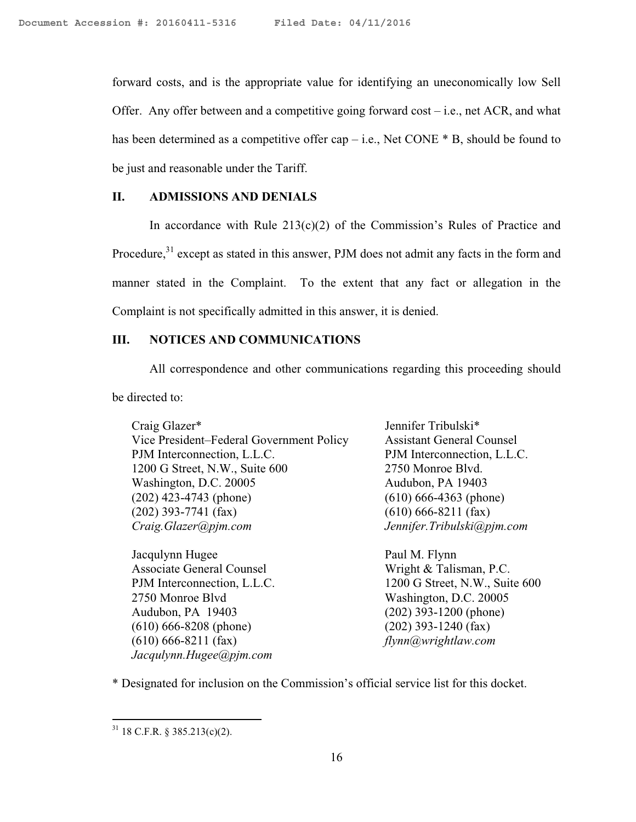forward costs, and is the appropriate value for identifying an uneconomically low Sell Offer. Any offer between and a competitive going forward cost  $-$  i.e., net ACR, and what has been determined as a competitive offer cap – i.e., Net CONE  $*$  B, should be found to be just and reasonable under the Tariff.

### **II. ADMISSIONS AND DENIALS**

In accordance with Rule  $213(c)(2)$  of the Commission's Rules of Practice and Procedure,<sup>31</sup> except as stated in this answer, PJM does not admit any facts in the form and manner stated in the Complaint. To the extent that any fact or allegation in the Complaint is not specifically admitted in this answer, it is denied.

# **III. NOTICES AND COMMUNICATIONS**

 All correspondence and other communications regarding this proceeding should be directed to:

Craig Glazer\* Vice President–Federal Government Policy PJM Interconnection, L.L.C. 1200 G Street, N.W., Suite 600 Washington, D.C. 20005 (202) 423-4743 (phone) (202) 393-7741 (fax) *Craig.Glazer@pjm.com* 

Jacqulynn Hugee Associate General Counsel PJM Interconnection, L.L.C. 2750 Monroe Blvd Audubon, PA 19403 (610) 666-8208 (phone) (610) 666-8211 (fax) *Jacqulynn.Hugee@pjm.com* 

Jennifer Tribulski\* Assistant General Counsel PJM Interconnection, L.L.C. 2750 Monroe Blvd. Audubon, PA 19403 (610) 666-4363 (phone) (610) 666-8211 (fax) *Jennifer.Tribulski@pjm.com*

Paul M. Flynn Wright & Talisman, P.C. 1200 G Street, N.W., Suite 600 Washington, D.C. 20005 (202) 393-1200 (phone) (202) 393-1240 (fax) *flynn@wrightlaw.com* 

\* Designated for inclusion on the Commission's official service list for this docket.

<sup>1</sup>  $31$  18 C.F.R. § 385.213(c)(2).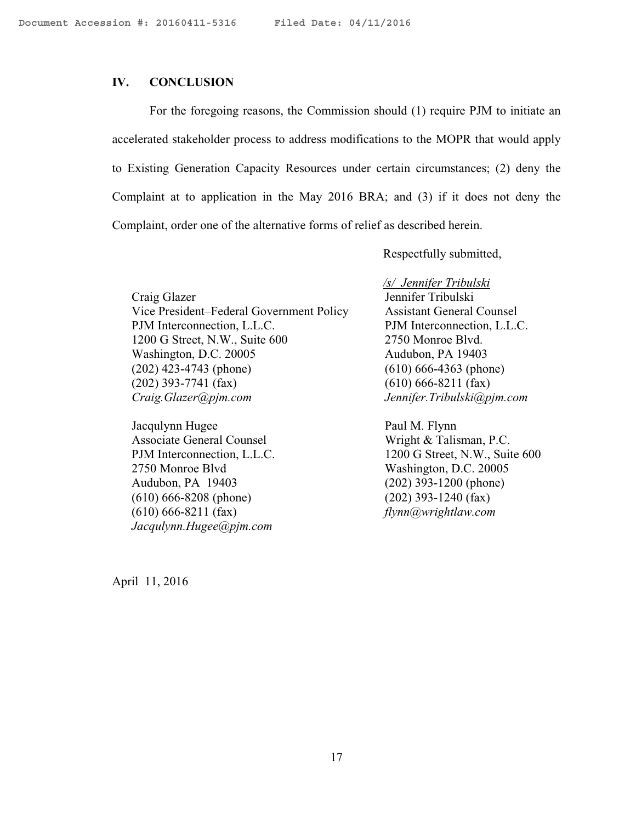#### **IV. CONCLUSION**

For the foregoing reasons, the Commission should (1) require PJM to initiate an accelerated stakeholder process to address modifications to the MOPR that would apply to Existing Generation Capacity Resources under certain circumstances; (2) deny the Complaint at to application in the May 2016 BRA; and (3) if it does not deny the Complaint, order one of the alternative forms of relief as described herein.

Respectfully submitted,

Craig Glazer Vice President–Federal Government Policy PJM Interconnection, L.L.C. 1200 G Street, N.W., Suite 600 Washington, D.C. 20005 (202) 423-4743 (phone) (202) 393-7741 (fax) *Craig.Glazer@pjm.com* 

Jacqulynn Hugee Associate General Counsel PJM Interconnection, L.L.C. 2750 Monroe Blvd Audubon, PA 19403 (610) 666-8208 (phone) (610) 666-8211 (fax) *Jacqulynn.Hugee@pjm.com* 

*/s/ Jennifer Tribulski* 

Jennifer Tribulski Assistant General Counsel PJM Interconnection, L.L.C. 2750 Monroe Blvd. Audubon, PA 19403 (610) 666-4363 (phone) (610) 666-8211 (fax) *Jennifer.Tribulski@pjm.com*

Paul M. Flynn Wright & Talisman, P.C. 1200 G Street, N.W., Suite 600 Washington, D.C. 20005 (202) 393-1200 (phone) (202) 393-1240 (fax) *flynn@wrightlaw.com* 

April 11, 2016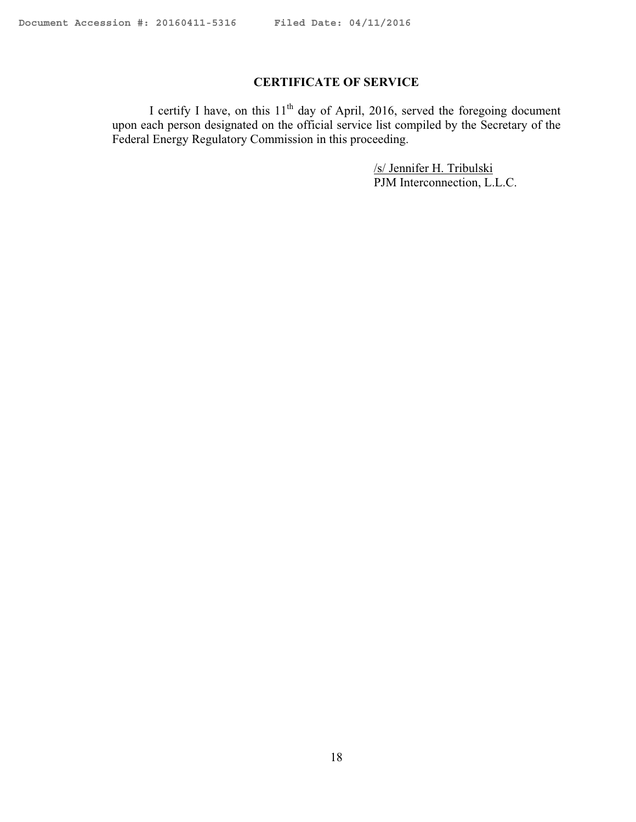# **CERTIFICATE OF SERVICE**

I certify I have, on this  $11<sup>th</sup>$  day of April, 2016, served the foregoing document upon each person designated on the official service list compiled by the Secretary of the Federal Energy Regulatory Commission in this proceeding.

> /s/ Jennifer H. Tribulski PJM Interconnection, L.L.C.